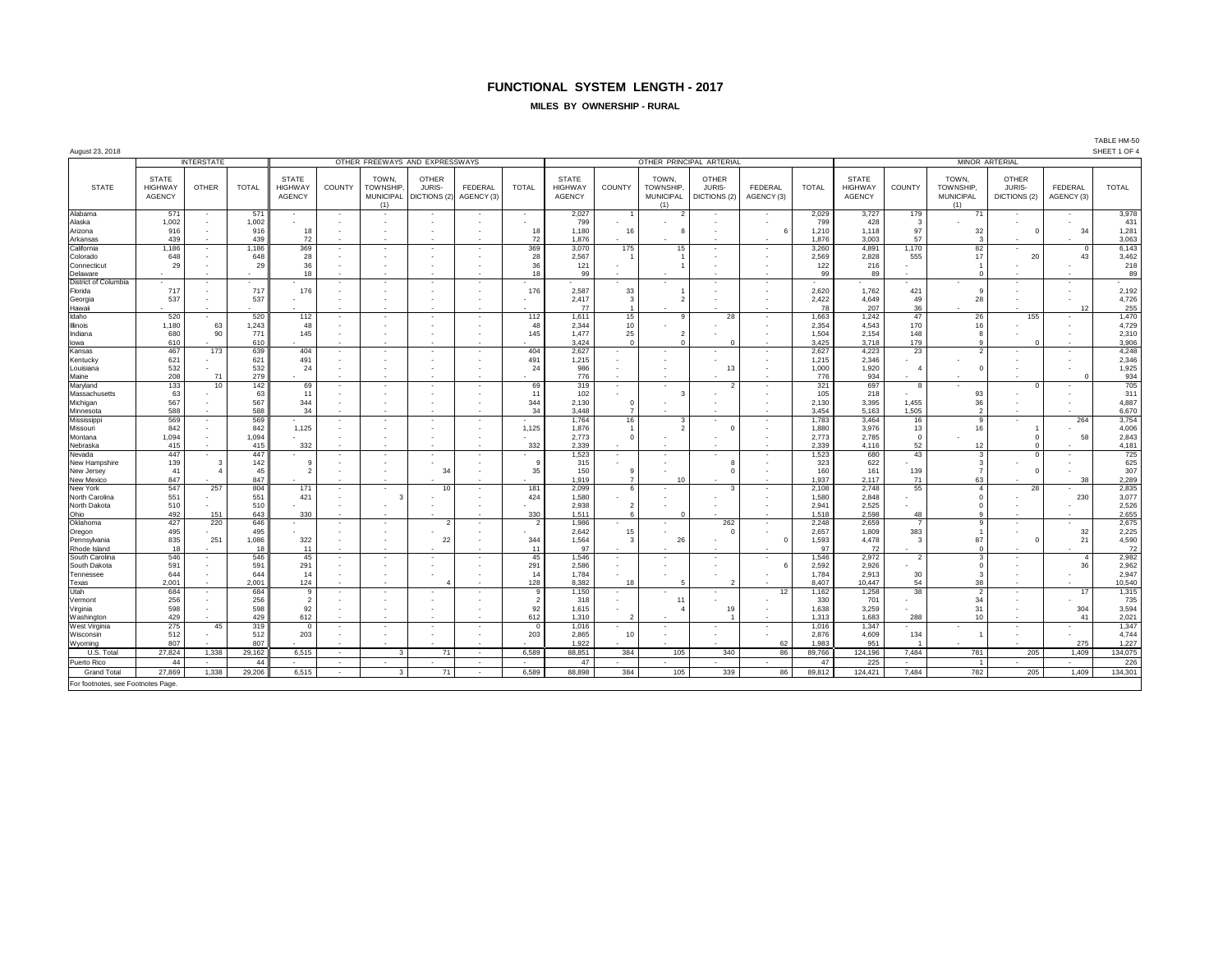## **FUNCTIONAL SYSTEM LENGTH - 2017**

#### **MILES BY OWNERSHIP - RURAL**

| August 23, 2018                                     |                                                 |                                           |              |                                                 |                          |                                                     |                                        |                          |                                |                                                 |                           |                                               |                                        |                                                      |                |                                                 |                          |                                               |                                        |                                | TABLE HM-50<br>SHEET 1 OF 4 |  |  |
|-----------------------------------------------------|-------------------------------------------------|-------------------------------------------|--------------|-------------------------------------------------|--------------------------|-----------------------------------------------------|----------------------------------------|--------------------------|--------------------------------|-------------------------------------------------|---------------------------|-----------------------------------------------|----------------------------------------|------------------------------------------------------|----------------|-------------------------------------------------|--------------------------|-----------------------------------------------|----------------------------------------|--------------------------------|-----------------------------|--|--|
| <b>INTERSTATE</b><br>OTHER FREEWAYS AND EXPRESSWAYS |                                                 |                                           |              |                                                 |                          |                                                     |                                        |                          |                                |                                                 |                           |                                               | OTHER PRINCIPAL ARTERIAL               |                                                      |                | <b>MINOR ARTERIAL</b>                           |                          |                                               |                                        |                                |                             |  |  |
| <b>STATE</b>                                        | <b>STATE</b><br><b>HIGHWAY</b><br><b>AGENCY</b> | <b>OTHER</b>                              | <b>TOTAL</b> | <b>STATE</b><br><b>HIGHWAY</b><br><b>AGENCY</b> | COUNTY                   | TOWN.<br><b>TOWNSHIP</b><br><b>MUNICIPAL</b><br>(1) | <b>OTHER</b><br>JURIS-<br>DICTIONS (2) | FEDERAL<br>AGENCY (3)    | <b>TOTAL</b>                   | <b>STATE</b><br><b>HIGHWAY</b><br><b>AGENCY</b> | COUNTY                    | TOWN.<br>TOWNSHIP.<br><b>MUNICIPAL</b><br>(1) | <b>OTHER</b><br>JURIS-<br>DICTIONS (2) | <b>FEDERAL</b><br>AGENCY (3)                         | <b>TOTAL</b>   | <b>STATE</b><br><b>HIGHWAY</b><br><b>AGENCY</b> | <b>COUNTY</b>            | TOWN.<br>TOWNSHIP.<br><b>MUNICIPAL</b><br>(1) | <b>OTHER</b><br>JURIS-<br>DICTIONS (2) | FEDERAL<br>AGENCY (3)          | <b>TOTAL</b>                |  |  |
| Alabama                                             | 571                                             | $\sim$                                    | 571          | $\sim$                                          | $\sim$                   |                                                     |                                        |                          | $\sim$                         | 2,027                                           |                           |                                               |                                        | $\sim$                                               | 2,029          | 3,727                                           | 179                      | 71                                            |                                        |                                | 3,978                       |  |  |
| Alaska<br>Arizona                                   | 1,002<br>916                                    | $\sim$                                    | 1,002<br>916 | 18                                              |                          |                                                     |                                        |                          | $\overline{\phantom{a}}$<br>18 | 799<br>1,180                                    | 16                        |                                               |                                        | $\overline{\phantom{a}}$<br>6                        | 799<br>1,210   | 428<br>1.118                                    | -3<br>97                 | 32                                            | $\Omega$                               | 34                             | 431<br>1,281                |  |  |
| Arkansas                                            | 439                                             |                                           | 439          | 72                                              |                          |                                                     |                                        |                          | 72                             | 1,876                                           |                           |                                               |                                        |                                                      | 1,876          | 3,003                                           | 57                       | 3                                             |                                        |                                | 3,063                       |  |  |
| California                                          | 1,186                                           | $\sim$                                    | 1,186        | 369                                             | $\overline{\phantom{a}}$ | $\sim$                                              | $\overline{\phantom{a}}$               | $\sim$                   | 369                            | 3,070                                           | 175                       | 15                                            |                                        | $\overline{\phantom{a}}$                             | 3,260          | 4,891                                           | 1,170                    | 82                                            |                                        | $\mathbf{0}$                   | 6,143                       |  |  |
| Colorado                                            | 648                                             |                                           | 648          | 28                                              |                          |                                                     |                                        |                          | 28                             | 2,567                                           |                           |                                               |                                        |                                                      | 2,569          | 2,828                                           | 555                      | 17                                            | 20                                     | 43                             | 3,462                       |  |  |
| Connecticut<br>Delaware                             | 29                                              |                                           | 29           | 36<br>18                                        |                          |                                                     |                                        | $\sim$                   | 36<br>18                       | 121<br>99                                       |                           |                                               |                                        | ٠                                                    | 122<br>99      | 216<br>89                                       |                          | $\Omega$                                      |                                        |                                | 218<br>89                   |  |  |
| <b>District of Columbia</b>                         |                                                 |                                           |              |                                                 |                          | $\sim$                                              | ٠.                                     |                          |                                |                                                 |                           | ٠                                             |                                        | ٠                                                    |                |                                                 |                          |                                               |                                        | $\sim$                         |                             |  |  |
| Florida                                             | 717                                             |                                           | 717          | 176                                             |                          |                                                     |                                        |                          | 176                            | 2,587                                           | 33                        |                                               |                                        |                                                      | 2,620          | 1,762                                           | 421                      | $\mathbf{q}$                                  |                                        | $\overline{\phantom{a}}$       | 2,192                       |  |  |
| Georgia                                             | 537                                             |                                           | 537          | ٠                                               |                          |                                                     |                                        |                          | ٠                              | 2,417                                           | $\mathbf{3}$              | $\overline{\phantom{a}}$                      |                                        |                                                      | 2,422          | 4.649                                           | 49<br>36                 | 28                                            |                                        | $\overline{\phantom{a}}$       | 4,726                       |  |  |
| Hawaii<br>Idaho                                     | 520                                             | $\sim$                                    | 520          | 112                                             |                          | $\sim$                                              |                                        | $\overline{\phantom{a}}$ | 112                            | 77<br>1,611                                     | 15                        | q                                             | 28                                     | $\overline{\phantom{a}}$                             | 78<br>1,663    | 207<br>1,242                                    | 47                       | 26                                            | 155                                    | 12<br>$\overline{\phantom{a}}$ | 255<br>1,470                |  |  |
| Illinois                                            | 1,180                                           | 63                                        | 1,243        | 48                                              |                          | $\sim$                                              |                                        |                          | 48                             | 2,344                                           | 10                        | $\sim$                                        |                                        | $\overline{\phantom{a}}$                             | 2,354          | 4,543                                           | 170                      | 16                                            |                                        | $\overline{\phantom{a}}$       | 4,729                       |  |  |
| Indiana                                             | 680                                             | 90                                        | 771          | 145                                             |                          | ٠.                                                  |                                        |                          | 145                            | 1,477                                           | 25                        | $\overline{2}$                                |                                        |                                                      | 1,504          | 2,154                                           | 148                      | $\mathbf{g}$                                  |                                        | ٠.                             | 2,310                       |  |  |
| lowa<br>Kansas                                      | 610<br>467                                      | 173                                       | 610<br>639   | 404                                             | $\sim$                   | $\sim$                                              | $\sim$                                 | $\sim$                   | 404                            | 3,424<br>2,627                                  | $\Omega$                  | $\Omega$                                      |                                        | $\overline{\phantom{a}}$                             | 3,425<br>2.627 | 3,718<br>4.223                                  | 179<br>23                | $\alpha$<br>2                                 |                                        | $\overline{\phantom{a}}$       | 3,906<br>4,248              |  |  |
| Kentucky                                            | 621                                             |                                           | 621          | 491                                             |                          |                                                     |                                        |                          | 491                            | 1,215                                           |                           |                                               |                                        |                                                      | 1,215          | 2.346                                           |                          |                                               |                                        | $\sim$                         | 2,346                       |  |  |
| Louisiana                                           | 532                                             |                                           | 532          | 24                                              |                          |                                                     |                                        |                          | 24                             | 986                                             |                           |                                               | 13                                     |                                                      | 1,000          | 1,920                                           | $\mathbf{A}$             | $\mathbf{0}$                                  |                                        | $\overline{\phantom{a}}$       | 1,925                       |  |  |
| Maine                                               | 208                                             | 71                                        | 279          |                                                 |                          |                                                     |                                        |                          |                                | 776                                             |                           |                                               |                                        |                                                      | 776            | 934                                             |                          |                                               |                                        | $\Omega$                       | 934                         |  |  |
| Maryland<br>Massachusetts                           | 133<br>63                                       | 10                                        | 142<br>63    | 69<br>11                                        |                          | $\overline{\phantom{a}}$                            | $\overline{\phantom{a}}$               | $\sim$                   | 69<br>11                       | 319<br>102                                      | $\sim$                    | $\sim$                                        | $\mathcal{P}$                          | ٠                                                    | 321<br>105     | 697<br>218                                      | 8                        | 93                                            | $\Omega$                               | $\overline{\phantom{a}}$       | 705<br>311                  |  |  |
| Michigan                                            | 567                                             |                                           | 567          | 344                                             |                          |                                                     |                                        |                          | 344                            | 2,130                                           |                           |                                               |                                        |                                                      | 2,130          | 3,395                                           | 1,455                    | 36                                            |                                        |                                | 4,887                       |  |  |
| Minnesota                                           | 588                                             |                                           | 588          | 34                                              |                          |                                                     |                                        |                          | 34                             | 3.448                                           |                           |                                               |                                        |                                                      | 3,454          | 5,163                                           | 1,505                    | $\overline{2}$                                |                                        |                                | 6,670                       |  |  |
| Mississipp                                          | 569                                             | $\sim$                                    | 569          |                                                 | $\sim$                   | $\overline{\phantom{a}}$                            | $\overline{\phantom{a}}$               | ٠.                       | ٠                              | 1,764                                           | 16                        | $\mathbf{3}$                                  |                                        | $\sim$                                               | 1,783          | 3.464                                           | 16                       | $\mathbf{q}$                                  |                                        | 264                            | 3,754                       |  |  |
| Missouri<br>Montana                                 | 842<br>1,094                                    | $\sim$                                    | 842<br>1,094 | 1,125                                           |                          | $\overline{\phantom{a}}$<br>٠.                      |                                        |                          | 1,125<br>$\sim$                | 1.876<br>2,773                                  | $\Omega$                  |                                               |                                        | $\overline{\phantom{a}}$<br>$\overline{\phantom{a}}$ | 1.880<br>2,773 | 3.976<br>2,785                                  | 13<br>$\Omega$           | 16                                            | $\Omega$                               | 58                             | 4,006<br>2,843              |  |  |
| Nebraska                                            | 415                                             |                                           | 415          | 332                                             |                          |                                                     |                                        |                          | 332                            | 2.339                                           |                           |                                               |                                        |                                                      | 2.339          | 4.116                                           | 52                       | 12                                            | $\Omega$                               |                                | 4,181                       |  |  |
| Nevada                                              | 447                                             | $\sim$                                    | 447          | ٠                                               |                          | $\sim$                                              |                                        |                          |                                | 1,523                                           | $\sim$                    | ٠                                             |                                        |                                                      | 1,523          | 680                                             | 43                       | $\mathbf{3}$                                  | $\Omega$                               | $\overline{\phantom{a}}$       | 725                         |  |  |
| New Hampshire                                       | 139                                             | $\overline{\mathbf{3}}$<br>$\overline{4}$ | 142          | 9                                               |                          | ٠.                                                  |                                        |                          | $\alpha$                       | 315<br>150                                      |                           | ٠                                             |                                        | ٠                                                    | 323<br>160     | 622                                             | 139                      | $\mathbf{3}$<br>$\overline{7}$                |                                        | $\sim$                         | 625<br>307                  |  |  |
| New Jersey<br>New Mexico                            | 41<br>847                                       |                                           | 45<br>847    | $\overline{2}$                                  |                          |                                                     | 34                                     |                          | 35<br>$\sim$                   | 1.919                                           | $\overline{7}$            | 10                                            |                                        |                                                      | 1,937          | 161<br>2,117                                    | 71                       | 63                                            | $^{\circ}$                             | 38                             | 2,289                       |  |  |
| New York                                            | 547                                             | 257                                       | 804          | 171                                             |                          | $\sim$                                              | 10                                     | ٠.                       | 181                            | 2,099                                           | 6                         |                                               | $\mathbf{R}$                           | ٠                                                    | 2,108          | 2,748                                           | 55                       | $\overline{4}$                                | 28                                     |                                | 2,835                       |  |  |
| North Carolina                                      | 551                                             |                                           | 551          | 421                                             |                          |                                                     |                                        |                          | 424                            | 1,580                                           |                           |                                               |                                        |                                                      | 1,580          | 2,848                                           |                          | $\Omega$                                      |                                        | 230                            | 3,077                       |  |  |
| North Dakota<br>Ohio                                | 510<br>492                                      | 151                                       | 510<br>643   | ٠<br>330                                        |                          | $\sim$                                              |                                        |                          | $\overline{\phantom{a}}$       | 2,938<br>1,511                                  | $\mathcal{P}$<br><b>6</b> | $\Omega$                                      |                                        |                                                      | 2,941<br>1,518 | 2,525<br>2,598                                  | 48                       | $\Omega$<br>$\alpha$                          |                                        | $\overline{\phantom{a}}$       | 2,526<br>2,655              |  |  |
| Oklahoma                                            | 427                                             | 220                                       | 646          | $\overline{\phantom{a}}$                        | $\overline{\phantom{a}}$ | $\sim$                                              | $\overline{\phantom{a}}$               | ÷,                       | 330<br>$\overline{2}$          | 1.986                                           | $\sim$                    | $\sim$                                        | 262                                    | $\sim$                                               | 2.248          | 2.659                                           | $\overline{7}$           | 9                                             | $\sim$                                 | $\sim$                         | 2,675                       |  |  |
| Oregon                                              | 495                                             |                                           | 495          |                                                 |                          |                                                     |                                        |                          |                                | 2,642                                           | 15                        |                                               | $\Omega$                               |                                                      | 2,657          | 1,809                                           | 383                      | $\mathbf{1}$                                  |                                        | 32                             | 2,225                       |  |  |
| Pennsylvania                                        | 835                                             | 251                                       | 1,086        | 322                                             |                          | $\sim$                                              | 22                                     |                          | 344                            | 1,564                                           | -3                        | 26                                            |                                        | $\circ$                                              | 1,593          | 4,478                                           | $\mathbf{3}$             | 87                                            | $\Omega$                               | 21                             | 4,590                       |  |  |
| Rhode Island                                        | 18<br>546                                       |                                           | 18<br>546    | 11<br>45                                        | $\overline{a}$           | $\sim$                                              |                                        |                          | 11<br>45                       | 97<br>1,546                                     |                           |                                               | ٠                                      | $\overline{\phantom{a}}$                             | 97<br>1,546    | 72<br>2,972                                     | $\overline{\phantom{a}}$ | $\overline{0}$<br>3                           |                                        | $\overline{4}$                 | 72<br>2,982                 |  |  |
| South Carolina<br>South Dakota                      | 591                                             | $\sim$                                    | 591          | 291                                             |                          | $\sim$                                              | $\overline{\phantom{a}}$               |                          | 291                            | 2,586                                           | $\sim$                    | $\overline{\phantom{a}}$                      |                                        | 6                                                    | 2,592          | 2,926                                           |                          | $\Omega$                                      |                                        | 36                             | 2,962                       |  |  |
| Tennessee                                           | 644                                             |                                           | 644          | 14                                              |                          |                                                     |                                        |                          | 14                             | 1,784                                           |                           |                                               |                                        |                                                      | 1,784          | 2,913                                           | 30                       | $\mathbf{3}$                                  |                                        |                                | 2,947                       |  |  |
| Texas                                               | 2,001                                           |                                           | 2,001        | 124                                             |                          |                                                     |                                        |                          | 128                            | 8,382                                           | 18                        | 5                                             |                                        |                                                      | 8,407          | 10,447                                          | 54                       | 38                                            |                                        |                                | 10,540                      |  |  |
| Utah<br>Vermont                                     | 684<br>256                                      |                                           | 684<br>256   | 9<br>$\overline{2}$                             |                          | ٠.                                                  |                                        |                          | $\overline{\phantom{a}}$       | 1.150<br>318                                    |                           | 11                                            |                                        | 12                                                   | 1.162<br>330   | 1,258<br>701                                    | 38                       | $\overline{2}$<br>34                          |                                        | 17                             | 1,315<br>735                |  |  |
| Virginia                                            | 598                                             | $\sim$                                    | 598          | 92                                              |                          |                                                     |                                        |                          | 92                             | 1,615                                           |                           |                                               | 19                                     |                                                      | 1,638          | 3,259                                           |                          | 31                                            |                                        | 304                            | 3,594                       |  |  |
| Washington                                          | 429                                             |                                           | 429          | 612                                             |                          |                                                     |                                        |                          | 612                            | 1,310                                           |                           |                                               |                                        |                                                      | 1.313          | 1,683                                           | 288                      | 10                                            |                                        | 41                             | 2,021                       |  |  |
| West Virginia                                       | 275                                             | 45                                        | 319          | $\overline{0}$                                  | $\sim$                   | $\sim$                                              | $\overline{\phantom{a}}$               | $\sim$                   | $\overline{0}$                 | 1,016                                           | $\sim$                    | $\sim$                                        | $\sim$                                 | $\overline{\phantom{a}}$                             | 1,016          | 1,347                                           | ÷.                       | $\sim$                                        | $\sim$                                 | $\sim$                         | 1,347                       |  |  |
| Wisconsin<br>Wyoming                                | 512<br>807                                      |                                           | 512<br>807   | 203                                             |                          |                                                     |                                        |                          | 203                            | 2,865<br>1.922                                  | 10                        |                                               |                                        | 62                                                   | 2,876<br>1.983 | 4,609<br>951                                    | 134                      | $\overline{1}$                                |                                        | 275                            | 4,744<br>1,227              |  |  |
| U.S. Total                                          | 27,824                                          | 1,338                                     | 29,162       | 6,515                                           | $\sim$                   | $\mathbf{3}$                                        | 71                                     | $\sim$                   | 6,589                          | 88,851                                          | 384                       | 105                                           | 340                                    | 86                                                   | 89,766         | 124,196                                         | 7,484                    | 781                                           | 205                                    | 1,409                          | 134,075                     |  |  |
| Puerto Rico                                         | 44                                              | $\sim$                                    | 44           |                                                 | $\sim$                   | $\sim$                                              | $\sim$                                 | $\sim$                   | $\overline{\phantom{a}}$       | 47                                              |                           | $\sim$                                        |                                        | $\overline{\phantom{a}}$                             | 47             | 225                                             |                          | - 1                                           |                                        | $\sim$                         | 226                         |  |  |
| <b>Grand Total</b>                                  | 27,869                                          | 1.338                                     | 29,206       | 6,515                                           | $\sim$                   | $\mathbf{3}$                                        | 71                                     | $\sim$                   | 6,589                          | 88,898                                          | 384                       | 105                                           | 339                                    | 86                                                   | 89,812         | 124,421                                         | 7,484                    | 782                                           | 205                                    | 1,409                          | 134,301                     |  |  |
| For footnotes, see Footnotes Page.                  |                                                 |                                           |              |                                                 |                          |                                                     |                                        |                          |                                |                                                 |                           |                                               |                                        |                                                      |                |                                                 |                          |                                               |                                        |                                |                             |  |  |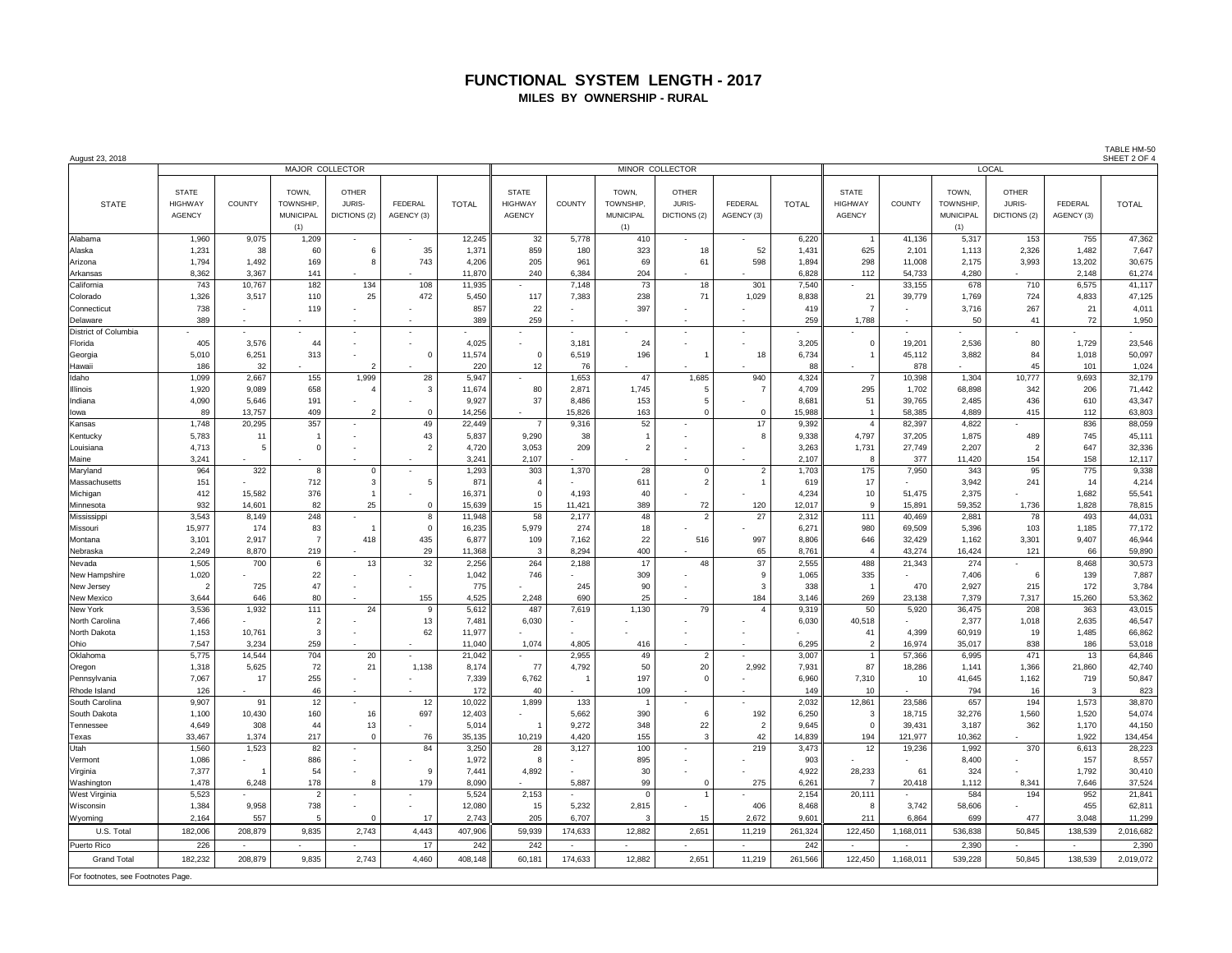## **FUNCTIONAL SYSTEM LENGTH - 2017 MILES BY OWNERSHIP - RURAL**

TABLE HM-50

| August 23, 2018                   | MAJOR COLLECTOR<br>MINOR COLLECTOR       |                          |                                                     |                                        |                          |              |                                                 |                |                                               |                                        |                          |                |                                                 |                 | SHEET 2 OF 4                                  |                                        |                       |                  |
|-----------------------------------|------------------------------------------|--------------------------|-----------------------------------------------------|----------------------------------------|--------------------------|--------------|-------------------------------------------------|----------------|-----------------------------------------------|----------------------------------------|--------------------------|----------------|-------------------------------------------------|-----------------|-----------------------------------------------|----------------------------------------|-----------------------|------------------|
|                                   |                                          |                          |                                                     |                                        |                          |              |                                                 |                |                                               |                                        | LOCAL                    |                |                                                 |                 |                                               |                                        |                       |                  |
| <b>STATE</b>                      | <b>STATE</b><br><b>HIGHWAY</b><br>AGENCY | COUNTY                   | TOWN.<br><b>TOWNSHIP</b><br><b>MUNICIPAL</b><br>(1) | <b>OTHER</b><br>JURIS-<br>DICTIONS (2) | FEDERAL<br>AGENCY (3)    | <b>TOTAL</b> | <b>STATE</b><br><b>HIGHWAY</b><br><b>AGENCY</b> | <b>COUNTY</b>  | TOWN.<br>TOWNSHIP,<br><b>MUNICIPAL</b><br>(1) | <b>OTHER</b><br>JURIS-<br>DICTIONS (2) | FEDERAL<br>AGENCY (3)    | <b>TOTAL</b>   | <b>STATE</b><br><b>HIGHWAY</b><br><b>AGENCY</b> | <b>COUNTY</b>   | TOWN.<br>TOWNSHIP.<br><b>MUNICIPAL</b><br>(1) | <b>OTHER</b><br>JURIS-<br>DICTIONS (2) | FEDERAL<br>AGENCY (3) | <b>TOTAL</b>     |
| Alabama                           | 1,960                                    | 9,075                    | 1,209                                               | $\sim$                                 |                          | 12,245       | 32                                              | 5,778          | 410                                           |                                        |                          | 6,220          | $\overline{1}$                                  | 41,136          | 5,317                                         | 153                                    | 755                   | 47,362           |
| Alaska                            | 1,231                                    | 38                       | 60                                                  | 6                                      | 35                       | 1,371        | 859                                             | 180            | 323                                           | 18                                     | 52                       | 1,431          | 625                                             | 2,101           | 1,113                                         | 2,326                                  | 1,482                 | 7,647            |
| Arizona                           | 1,794                                    | 1,492                    | 169                                                 | 8                                      | 743                      | 4,206        | 205                                             | 961            | 69                                            | 61                                     | 598                      | 1,894          | 298                                             | 11,008          | 2,175                                         | 3,993                                  | 13,202                | 30,675           |
| Arkansas                          | 8,362                                    | 3,367                    | 141                                                 |                                        |                          | 11,870       | 240                                             | 6,384          | 204                                           |                                        |                          | 6,828          | 112                                             | 54,733          | 4,280                                         |                                        | 2,148                 | 61,274           |
| California                        | 743                                      | 10,767                   | 182                                                 | 134                                    | 108                      | 11,935       |                                                 | 7.148          | 73                                            | 18                                     | 301                      | 7,540          | $\sim$                                          | 33,155          | 678                                           | 710                                    | 6,575                 | 41,117           |
| Colorado                          | 1,326                                    | 3,517                    | 110                                                 | 25                                     | 472                      | 5,450        | 117                                             | 7,383          | 238                                           | 71                                     | 1,029                    | 8,838          | 21                                              | 39,779          | 1,769                                         | 724                                    | 4,833                 | 47,125           |
| Connecticut                       | 738                                      |                          | 119                                                 |                                        |                          | 857          | 22                                              |                | 397                                           |                                        |                          | 419            | $\overline{7}$                                  |                 | 3,716                                         | 267                                    | 21                    | 4,011            |
| Delaware                          | 389                                      |                          |                                                     |                                        |                          | 389          | 259                                             |                |                                               |                                        |                          | 259            | 1.788                                           |                 | 50                                            | 41                                     | 72                    | 1,950            |
| District of Columbia              |                                          |                          |                                                     |                                        |                          |              |                                                 |                |                                               | ÷,                                     |                          |                |                                                 |                 |                                               |                                        |                       |                  |
| Florida                           | 405                                      | 3,576                    | 44                                                  |                                        |                          | 4,025        |                                                 | 3,181          | 24                                            |                                        |                          | 3,205          | $\mathbf 0$                                     | 19,201          | 2,536                                         | 80                                     | 1,729                 | 23,546           |
| Georgia                           | 5,010                                    | 6,251                    | 313                                                 |                                        | $\mathbf 0$              | 11,574       | $\mathbf 0$                                     | 6,519          | 196                                           |                                        | 18                       | 6,734          | $\overline{1}$                                  | 45,112          | 3,882                                         | 84                                     | 1,018                 | 50,097           |
| Hawaii                            | 186                                      | 32                       |                                                     | $\overline{2}$                         |                          | 220          | 12                                              | 76             |                                               |                                        |                          | 88             | $\sim$                                          | 878             |                                               | 45                                     | 101                   | 1,024            |
| Idaho                             | 1,099                                    | 2,667                    | 155                                                 | 1,999                                  | 28                       | 5,947        |                                                 | 1,653          | 47                                            | 1,685                                  | 940                      | 4,324          | $\overline{7}$                                  | 10,398          | 1,304                                         | 10,777                                 | 9,693                 | 32,179           |
| <b>Illinois</b>                   | 1,920                                    | 9.089                    | 658                                                 | $\overline{4}$                         | $\mathbf{3}$             | 11,674       | 80                                              | 2,871          | 1.745                                         | $5^{\circ}$                            | $\overline{7}$           | 4.709          | 295                                             | 1,702           | 68,898                                        | 342                                    | 206                   | 71,442           |
| Indiana                           | 4,090                                    | 5,646                    | 191                                                 |                                        |                          | 9,927        | 37                                              | 8,486          | 153                                           | 5                                      |                          | 8,681          | 51                                              | 39,765          | 2,485                                         | 436                                    | 610                   | 43,347           |
| lowa                              | 89                                       | 13,757                   | 409                                                 | $\overline{2}$                         | $\mathbf 0$              | 14,256       | $\sim$                                          | 15,826         | 163                                           | $\mathbf 0$                            | $^{\circ}$               | 15,988         | $\overline{1}$                                  | 58,385          | 4,889                                         | 415                                    | 112                   | 63,803           |
| Kansas                            | 1,748                                    | 20,295                   | 357                                                 | $\sim$                                 | 49                       | 22,449       | $\overline{7}$                                  | 9,316          | 52                                            | $\overline{\phantom{a}}$               | 17                       | 9,392          | $\overline{4}$                                  | 82,397          | 4,822                                         |                                        | 836                   | 88,059           |
| Kentuckv                          | 5,783                                    | 11                       | ×                                                   |                                        | 43                       | 5,837        | 9.290                                           | 38             | $\mathbf{1}$                                  |                                        | 8                        | 9.338          | 4,797                                           | 37,205          | 1.875                                         | 489                                    | 745                   | 45,111           |
| Louisiana                         | 4,713                                    | 5                        | $\Omega$                                            |                                        | $\overline{2}$           | 4,720        | 3,053                                           | 209            | $\overline{2}$                                | ÷,                                     |                          | 3,263          | 1,731                                           | 27,749          | 2,207                                         | $\overline{2}$                         | 647                   | 32,336           |
| Maine                             | 3,241                                    |                          |                                                     |                                        |                          | 3,241        | 2,107                                           |                |                                               |                                        |                          | 2,107          | 8                                               | 377             | 11,420                                        | 154                                    | 158                   | 12,117           |
| Maryland                          | 964                                      | 322                      | 8                                                   | $\mathbf 0$                            | $\overline{\phantom{a}}$ | 1,293        | 303                                             | 1,370          | 28                                            | $\mathbf{0}$                           | $\overline{2}$           | 1,703          | 175                                             | 7,950           | 343                                           | 95                                     | 775                   | 9,338            |
| Massachusetts                     | 151                                      |                          | 712                                                 | 3                                      | 5                        | 871          | $\overline{4}$                                  |                | 611                                           | $\overline{2}$                         | $\overline{1}$           | 619            | 17                                              |                 | 3,942                                         | 241                                    | 14                    | 4,214            |
| Michigan                          | 412                                      | 15,582                   | 376                                                 | $\mathbf{1}$                           |                          | 16,371       | $\,$ 0                                          | 4,193          | 40                                            |                                        |                          | 4,234          | $10$                                            | 51,475          | 2,375                                         |                                        | 1,682                 | 55,541           |
| Minnesota                         | 932                                      | 14,601                   | 82                                                  | 25                                     | $\mathbf 0$              | 15,639       | 15                                              | 11,421         | 389                                           | 72                                     | 120                      | 12,017         | 9                                               | 15,891          | 59,352                                        | 1,736                                  | 1,828                 | 78,815           |
| Mississippi                       | 3,543                                    | 8,149                    | 248                                                 | $\sim$                                 | 8                        | 11,948       | 58                                              | 2,177          | 48                                            | $\overline{2}$                         | 27                       | 2,312          | 111                                             | 40,469          | 2,881                                         | 78                                     | 493                   | 44,031           |
| Missouri                          | 15,977                                   | 174                      | 83                                                  | -1                                     | $\mathbf{0}$             | 16,235       | 5,979                                           | 274            | 18                                            |                                        |                          | 6,271          | 980                                             | 69,509          | 5,396                                         | 103                                    | 1,185                 | 77,172           |
| Montana                           | 3,101                                    | 2,917                    | $\overline{7}$                                      | 418                                    | 435                      | 6,877        | 109                                             | 7,162          | 22                                            | 516                                    | 997                      | 8,806          | 646                                             | 32,429          | 1,162                                         | 3,301                                  | 9,407                 | 46,944           |
| Nebraska                          | 2,249                                    | 8,870                    | 219                                                 |                                        | 29                       | 11,368       | 3                                               | 8,294          | 400                                           |                                        | 65                       | 8,761          | $\overline{4}$                                  | 43,274          | 16,424                                        | 121                                    | 66                    | 59,890           |
| Nevada                            | 1,505                                    | 700                      | 6                                                   | 13                                     | 32                       | 2.256        | 264                                             | 2,188          | 17                                            | 48                                     | 37                       | 2,555          | 488                                             | 21,343          | 274                                           |                                        | 8,468                 | 30,573           |
| New Hampshire                     | 1,020                                    |                          | 22<br>47                                            |                                        |                          | 1,042        | 746                                             |                | 309                                           |                                        | 9                        | 1,065          | 335                                             | 470             | 7.406                                         | 6                                      | 139<br>172            | 7,887            |
| New Jersey                        | $\overline{2}$                           | 725                      |                                                     |                                        |                          | 775<br>4,525 |                                                 | 245            | 90<br>25                                      |                                        | -3                       | 338            | $\overline{1}$                                  |                 | 2,927                                         | 215                                    |                       | 3,784            |
| New Mexico<br>New York            | 3,644<br>3,536                           | 646<br>1,932             | 80<br>111                                           | 24                                     | 155<br>9                 | 5,612        | 2,248<br>487                                    | 690<br>7,619   | 1,130                                         | 79                                     | 184<br>$\overline{4}$    | 3,146<br>9,319 | 269<br>50                                       | 23,138<br>5,920 | 7,379<br>36,475                               | 7,317<br>208                           | 15,260<br>363         | 53,362<br>43,015 |
| North Carolina                    | 7,466                                    |                          | $\overline{2}$                                      |                                        | 13                       | 7.481        | 6,030                                           |                |                                               |                                        |                          | 6,030          | 40.518                                          |                 | 2,377                                         | 1,018                                  | 2,635                 | 46,547           |
| North Dakota                      | 1,153                                    | 10,761                   | 3                                                   |                                        | 62                       | 11,977       |                                                 |                |                                               |                                        |                          |                | 41                                              | 4,399           | 60,919                                        | 19                                     | 1,485                 | 66,862           |
| Ohio                              | 7,547                                    | 3,234                    | 259                                                 |                                        |                          | 11,040       | 1,074                                           | 4,805          | 416                                           |                                        |                          | 6,295          | $\overline{2}$                                  | 16,974          | 35,017                                        | 838                                    | 186                   | 53,018           |
| Oklahoma                          | 5,775                                    | 14,544                   | 704                                                 | 20                                     | $\sim$                   | 21,042       |                                                 | 2,955          | 49                                            | $\overline{2}$                         | ÷.                       | 3,007          | $\overline{1}$                                  | 57,366          | 6,995                                         | 471                                    | 13                    | 64,846           |
| Oregon                            | 1,318                                    | 5,625                    | 72                                                  | 21                                     | 1,138                    | 8,174        | 77                                              | 4,792          | 50                                            | 20                                     | 2,992                    | 7,931          | 87                                              | 18,286          | 1,141                                         | 1,366                                  | 21,860                | 42,740           |
| Pennsylvania                      | 7,067                                    | 17                       | 255                                                 | $\overline{\phantom{a}}$               |                          | 7,339        | 6,762                                           | $\overline{1}$ | 197                                           | $\Omega$                               |                          | 6.960          | 7.310                                           | 10              | 41.645                                        | 1,162                                  | 719                   | 50,847           |
| Rhode Island                      | 126                                      |                          | 46                                                  |                                        |                          | 172          | 40                                              |                | 109                                           |                                        |                          | 149            | 10                                              |                 | 794                                           | 16                                     | 3                     | 823              |
| South Carolina                    | 9,907                                    | 91                       | 12                                                  | $\overline{\phantom{a}}$               | 12                       | 10,022       | 1,899                                           | 133            |                                               | $\overline{\phantom{a}}$               |                          | 2,032          | 12,861                                          | 23,586          | 657                                           | 194                                    | 1,573                 | 38,870           |
| South Dakota                      | 1,100                                    | 10,430                   | 160                                                 | 16                                     | 697                      | 12,403       |                                                 | 5,662          | 390                                           | 6                                      | 192                      | 6,250          | $\mathbf{3}$                                    | 18,715          | 32,276                                        | 1,560                                  | 1,520                 | 54,074           |
| Tennessee                         | 4,649                                    | 308                      | 44                                                  | 13                                     |                          | 5,014        | $\overline{1}$                                  | 9,272          | 348                                           | 22                                     | $\overline{2}$           | 9,645          | $\overline{0}$                                  | 39,431          | 3,187                                         | 362                                    | 1,170                 | 44,150           |
| Texas                             | 33,467                                   | 1,374                    | 217                                                 | $\Omega$                               | 76                       | 35,135       | 10,219                                          | 4,420          | 155                                           | 3                                      | 42                       | 14,839         | 194                                             | 121,977         | 10,362                                        |                                        | 1,922                 | 134,454          |
| Utah                              | 1,560                                    | 1,523                    | 82                                                  | $\sim$                                 | 84                       | 3,250        | 28                                              | 3,127          | 100                                           | $\overline{\phantom{a}}$               | 219                      | 3,473          | 12                                              | 19,236          | 1,992                                         | 370                                    | 6,613                 | 28,223           |
| Vermont                           | 1,086                                    |                          | 886                                                 |                                        |                          | 1,972        | 8                                               |                | 895                                           |                                        |                          | 903            |                                                 |                 | 8,400                                         |                                        | 157                   | 8,557            |
| Virginia                          | 7,377                                    | $\overline{1}$           | 54                                                  |                                        | 9                        | 7,441        | 4,892                                           |                | 30                                            |                                        |                          | 4,922          | 28,233                                          | 61              | 324                                           |                                        | 1,792                 | 30,410           |
| Washington                        | 1,478                                    | 6,248                    | 178                                                 | 8                                      | 179                      | 8,090        |                                                 | 5,887          | 99                                            | $\mathbf 0$                            | 275                      | 6,261          | $\overline{7}$                                  | 20,418          | 1,112                                         | 8,341                                  | 7,646                 | 37,524           |
| West Virginia                     | 5,523                                    |                          | $\overline{2}$                                      | $\overline{\phantom{a}}$               |                          | 5,524        | 2,153                                           |                | $\Omega$                                      |                                        |                          | 2,154          | 20,111                                          |                 | 584                                           | 194                                    | 952                   | 21,841           |
| Wisconsin                         | 1,384                                    | 9.958                    | 738                                                 | $\overline{\phantom{a}}$               |                          | 12.080       | 15                                              | 5,232          | 2,815                                         |                                        | 406                      | 8.468          | 8                                               | 3,742           | 58,606                                        |                                        | 455                   | 62,811           |
| Wyoming                           | 2.164                                    | 557                      | 5                                                   | $\Omega$                               | 17                       | 2.743        | 205                                             | 6.707          | 3                                             | 15                                     | 2.672                    | 9.601          | 211                                             | 6.864           | 699                                           | 477                                    | 3.048                 | 11,299           |
| U.S. Total                        | 182,006                                  | 208,879                  | 9,835                                               | 2,743                                  | 4,443                    | 407,906      | 59,939                                          | 174,633        | 12,882                                        | 2,651                                  | 11,219                   | 261,324        | 122,450                                         | 1,168,011       | 536,838                                       | 50,845                                 | 138,539               | 2,016,682        |
| Puerto Rico                       | 226                                      | $\overline{\phantom{a}}$ | $\overline{\phantom{a}}$                            | $\sim$                                 | 17                       | 242          | 242                                             | $\sim$         |                                               |                                        | $\overline{\phantom{0}}$ | 242            | $\overline{\phantom{a}}$                        | $\overline{a}$  | 2,390                                         | $\overline{\phantom{a}}$               | $\sim$                | 2,390            |
|                                   |                                          |                          |                                                     |                                        |                          |              |                                                 |                |                                               |                                        |                          |                |                                                 |                 |                                               |                                        |                       |                  |
| <b>Grand Total</b>                | 182.232                                  | 208,879                  | 9,835                                               | 2,743                                  | 4.460                    | 408,148      | 60,181                                          | 174,633        | 12,882                                        | 2,651                                  | 11,219                   | 261,566        | 122,450                                         | 1,168,011       | 539,228                                       | 50,845                                 | 138,539               | 2,019,072        |
| For footnotes, see Footnotes Page |                                          |                          |                                                     |                                        |                          |              |                                                 |                |                                               |                                        |                          |                |                                                 |                 |                                               |                                        |                       |                  |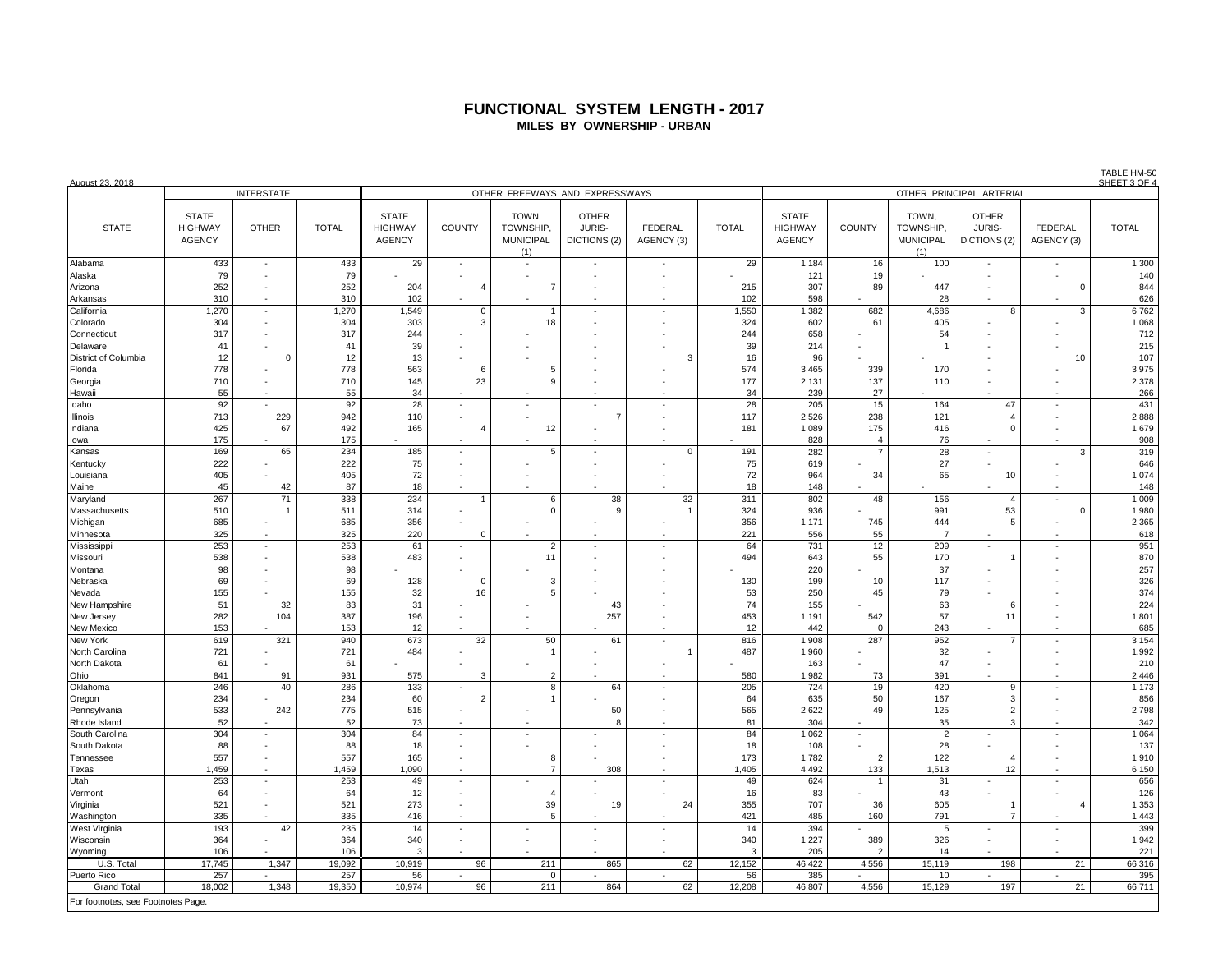### **FUNCTIONAL SYSTEM LENGTH - 2017 MILES BY OWNERSHIP - URBAN**

| August 23, 2018                   |                                                 |                          |              |                                                 |                |                                               |                                        |                              | SHEET 3 OF 4             |                                                 |                |                                               |                                        |                              |                |  |  |
|-----------------------------------|-------------------------------------------------|--------------------------|--------------|-------------------------------------------------|----------------|-----------------------------------------------|----------------------------------------|------------------------------|--------------------------|-------------------------------------------------|----------------|-----------------------------------------------|----------------------------------------|------------------------------|----------------|--|--|
|                                   |                                                 | <b>INTERSTATE</b>        |              |                                                 |                | OTHER FREEWAYS AND EXPRESSWAYS                |                                        |                              | OTHER PRINCIPAL ARTERIAL |                                                 |                |                                               |                                        |                              |                |  |  |
| <b>STATE</b>                      | <b>STATE</b><br><b>HIGHWAY</b><br><b>AGENCY</b> | <b>OTHER</b>             | <b>TOTAL</b> | <b>STATE</b><br><b>HIGHWAY</b><br><b>AGENCY</b> | <b>COUNTY</b>  | TOWN,<br>TOWNSHIP,<br><b>MUNICIPAL</b><br>(1) | <b>OTHER</b><br>JURIS-<br>DICTIONS (2) | <b>FEDERAL</b><br>AGENCY (3) | <b>TOTAL</b>             | <b>STATE</b><br><b>HIGHWAY</b><br><b>AGENCY</b> | <b>COUNTY</b>  | TOWN,<br>TOWNSHIP.<br><b>MUNICIPAL</b><br>(1) | <b>OTHER</b><br>JURIS-<br>DICTIONS (2) | <b>FEDERAL</b><br>AGENCY (3) | <b>TOTAL</b>   |  |  |
| Alabama                           | 433                                             | $\sim$                   | 433          | 29                                              | ä,             |                                               |                                        |                              | 29                       | 1,184                                           | 16             | 100                                           |                                        |                              | 1,300          |  |  |
| Alaska                            | 79                                              | ٠                        | 79           |                                                 |                |                                               |                                        |                              |                          | 121                                             | 19             |                                               |                                        |                              | 140            |  |  |
| Arizona                           | 252                                             |                          | 252          | 204                                             | $\overline{A}$ | $\overline{7}$                                |                                        |                              | 215                      | 307                                             | 89             | 447                                           |                                        | $\Omega$                     | 844            |  |  |
| Arkansas                          | 310                                             |                          | 310          | 102                                             |                |                                               |                                        |                              | 102                      | 598                                             |                | 28                                            |                                        |                              | 626            |  |  |
| California                        | 1,270                                           | $\sim$                   | 1,270        | 1,549                                           | $\mathbf 0$    |                                               | $\sim$                                 | $\overline{\phantom{a}}$     | 1,550                    | 1,382                                           | 682            | 4,686                                         | 8                                      | 3                            | 6,762          |  |  |
| Colorado                          | 304                                             |                          | 304          | 303                                             | 3              | 18                                            |                                        |                              | 324                      | 602                                             | 61             | 405                                           |                                        |                              | 1,068          |  |  |
| Connecticut                       | 317                                             | $\sim$                   | 317          | 244                                             |                |                                               |                                        | $\sim$                       | 244                      | 658                                             |                | 54                                            |                                        |                              | 712            |  |  |
| Delaware                          | 41                                              |                          | 41           | 39                                              |                |                                               |                                        |                              | 39                       | 214                                             |                | $\overline{1}$                                |                                        |                              | 215            |  |  |
| District of Columbia              | 12                                              | $\Omega$                 | 12           | 13                                              | ä,             |                                               |                                        | 3                            | 16                       | 96                                              | ÷.             |                                               |                                        | 10                           | 107            |  |  |
| Florida                           | 778                                             |                          | 778          | 563                                             | 6              | 5                                             |                                        |                              | 574                      | 3,465                                           | 339            | 170                                           |                                        |                              | 3,975          |  |  |
| Georgia                           | 710                                             |                          | 710          | 145                                             | 23             | c                                             |                                        |                              | 177                      | 2,131                                           | 137            | 110                                           |                                        |                              | 2,378          |  |  |
| Hawaii                            | 55                                              | $\sim$                   | 55           | 34                                              |                |                                               |                                        |                              | 34                       | 239                                             | 27             |                                               |                                        |                              | 266            |  |  |
| Idaho                             | 92                                              |                          | 92           | 28                                              |                |                                               |                                        |                              | 28                       | 205                                             | 15             | 164                                           | 47                                     |                              | 431            |  |  |
| Illinois                          | 713                                             | 229                      | 942          | 110                                             | ÷              |                                               | 7                                      |                              | 117                      | 2,526                                           | 238            | 121                                           | $\Delta$                               |                              | 2,888          |  |  |
| Indiana                           | 425                                             | 67                       | 492          | 165                                             | $\overline{4}$ | 12                                            |                                        |                              | 181                      | 1,089                                           | 175            | 416                                           | $\Omega$                               |                              | 1,679          |  |  |
| lowa                              | 175                                             |                          | 175          |                                                 |                |                                               |                                        |                              |                          | 828                                             | $\overline{4}$ | 76                                            |                                        |                              | 908            |  |  |
| Kansas                            | 169                                             | 65                       | 234          | 185                                             |                | 5                                             |                                        | $\Omega$                     | 191                      | 282                                             | $\overline{7}$ | 28                                            |                                        | 3                            | 319            |  |  |
| Kentucky                          | 222                                             |                          | 222          | 75                                              | ٠              |                                               |                                        |                              | 75                       | 619                                             |                | 27                                            |                                        |                              | 646            |  |  |
| Louisiana                         | 405                                             |                          | 405          | 72                                              |                |                                               |                                        |                              | 72                       | 964                                             | 34             | 65                                            | 10                                     |                              | 1,074          |  |  |
| Maine                             | 45                                              | 42                       | 87           | 18                                              |                |                                               |                                        |                              | 18                       | 148                                             |                |                                               |                                        |                              | 148            |  |  |
| Maryland                          | 267                                             | 71                       | 338          | 234                                             | 1              | 6                                             | 38                                     | 32                           | 311                      | 802                                             | 48             | 156                                           | $\overline{4}$                         | ×,                           | 1,009          |  |  |
| Massachusetts                     | 510                                             |                          | 511          | 314                                             |                | $\Omega$                                      | g                                      | $\overline{1}$               | 324                      | 936                                             |                | 991                                           | 53                                     | $\Omega$                     | 1,980          |  |  |
| Michigan                          | 685                                             |                          | 685          | 356                                             |                |                                               |                                        |                              | 356                      | 1,171                                           | 745            | 444                                           | 5                                      |                              | 2,365          |  |  |
| Minnesota                         | 325                                             |                          | 325          | 220                                             | $\Omega$       |                                               |                                        |                              | 221                      | 556                                             | 55             | $\overline{7}$                                |                                        |                              | 618            |  |  |
| Mississippi                       | 253                                             | ÷.                       | 253          | 61                                              |                | $\overline{2}$                                |                                        |                              | 64                       | 731                                             | 12             | 209                                           |                                        | ÷.                           | 951            |  |  |
| Missouri                          | 538                                             | ٠                        | 538          | 483                                             |                | 11                                            |                                        |                              | 494                      | 643                                             | 55             | 170                                           |                                        |                              | 870            |  |  |
| Montana                           | 98                                              | $\sim$                   | 98           |                                                 |                |                                               |                                        |                              |                          | 220                                             |                | 37                                            |                                        |                              | 257            |  |  |
| Nebraska                          | 69                                              |                          | 69           | 128                                             | $\Omega$       | 3                                             |                                        |                              | 130                      | 199                                             | 10             | 117                                           |                                        |                              | 326            |  |  |
| Nevada                            | 155                                             | $\epsilon$               | 155          | 32                                              | 16             | 5                                             |                                        | $\sim$                       | 53                       | 250                                             | 45             | 79                                            |                                        | ÷,                           | 374            |  |  |
| New Hampshire                     | 51                                              | 32                       | 83           | 31                                              |                |                                               | 43                                     |                              | 74                       | 155                                             |                | 63                                            | 6                                      |                              | 224            |  |  |
| New Jersey                        | 282                                             | 104                      | 387          | 196                                             |                |                                               | 257                                    | $\sim$                       | 453                      | 1,191                                           | 542            | 57                                            | 11                                     | $\sim$                       | 1,801          |  |  |
| New Mexico                        | 153                                             |                          | 153          | 12                                              |                |                                               |                                        |                              | 12                       | 442                                             | $\mathbf{0}$   | 243                                           |                                        |                              | 685            |  |  |
| New York                          | 619                                             | 321                      | 940          | 673                                             | 32             | 50                                            | 61                                     |                              | 816                      | 1,908                                           | 287            | 952                                           |                                        | ٠                            | 3,154          |  |  |
| North Carolina                    | 721                                             |                          | 721          | 484                                             |                |                                               |                                        | $\overline{1}$               | 487                      | 1,960                                           |                | 32                                            |                                        |                              | 1,992          |  |  |
| North Dakota                      | 61                                              |                          | 61           |                                                 |                |                                               |                                        |                              |                          | 163                                             |                | 47                                            |                                        |                              | 210            |  |  |
| Ohio                              | 841                                             | 91                       | 931          | 575                                             | 3              | 2                                             |                                        |                              | 580                      | 1,982                                           | 73             | 391                                           |                                        |                              | 2,446          |  |  |
| Oklahoma                          | 246                                             | 40                       | 286          | 133                                             |                | я                                             | 64                                     |                              | 205                      | 724                                             | 19             | 420                                           | 9                                      |                              | 1,173          |  |  |
| Oregon                            | 234                                             |                          | 234          | 60                                              | $\overline{2}$ |                                               |                                        |                              | 64                       | 635                                             | 50             | 167                                           | 3                                      |                              | 856            |  |  |
| Pennsylvania                      | 533                                             | 242                      | 775          | 515                                             |                |                                               | 50                                     |                              | 565                      | 2,622                                           | 49             | 125                                           | $\overline{2}$                         |                              | 2,798          |  |  |
| Rhode Island                      | 52                                              |                          | 52           | 73                                              |                |                                               | $\mathbf{R}$                           |                              | 81                       | 304                                             |                | 35                                            | 3                                      |                              | 342            |  |  |
| South Carolina                    | 304                                             | $\overline{\phantom{a}}$ | 304          | 84                                              |                |                                               |                                        |                              | 84                       | 1,062                                           | $\bar{z}$      | $\overline{c}$                                |                                        | ÷,                           | 1,064          |  |  |
| South Dakota<br>Tennessee         | 88<br>557                                       | $\overline{\phantom{a}}$ | 88<br>557    | 18<br>165                                       | ÷              | 8                                             |                                        |                              | 18<br>173                | 108<br>1,782                                    | $\overline{2}$ | 28<br>122                                     | Δ                                      |                              | 137            |  |  |
| Texas                             | 1,459                                           |                          | 1,459        | 1,090                                           |                | $\overline{7}$                                | 308                                    |                              | 1,405                    | 4,492                                           | 133            | 1,513                                         | 12                                     |                              | 1,910<br>6,150 |  |  |
|                                   |                                                 |                          |              |                                                 |                |                                               |                                        |                              | 49                       | 624                                             | $\overline{1}$ | 31                                            |                                        |                              | 656            |  |  |
| Utah                              | 253                                             |                          | 253          | 49                                              |                |                                               |                                        |                              |                          |                                                 |                |                                               |                                        |                              |                |  |  |
| Vermont<br>Virginia               | 64<br>521                                       |                          | 64<br>521    | 12<br>273                                       | ٠              | $\overline{4}$<br>39                          | 19                                     | 24                           | 16<br>355                | 83<br>707                                       | 36             | 43<br>605                                     |                                        | $\overline{4}$               | 126<br>1,353   |  |  |
| Washington                        | 335                                             |                          | 335          | 416                                             |                | 5                                             |                                        |                              | 421                      | 485                                             | 160            | 791                                           | $\overline{7}$                         |                              | 1,443          |  |  |
| West Virginia                     | 193                                             | 42                       | 235          | 14                                              |                |                                               |                                        |                              | 14                       | 394                                             |                | 5                                             |                                        | ÷,                           | 399            |  |  |
| Wisconsin                         | 364                                             | ٠                        | 364          | 340                                             | ٠              |                                               |                                        |                              | 340                      | 1,227                                           | 389            | 326                                           |                                        |                              | 1,942          |  |  |
| Wyoming                           | 106                                             |                          | 106          | 3                                               |                |                                               |                                        |                              |                          | 205                                             | $\mathcal{P}$  | 14                                            |                                        |                              | 221            |  |  |
| U.S. Total                        | 17,745                                          | 1,347                    | 19,092       | 10,919                                          | 96             | 211                                           | 865                                    | 62                           | 12,152                   | 46,422                                          | 4,556          | 15,119                                        | 198                                    | 21                           | 66,316         |  |  |
| Puerto Rico                       | 257                                             | ×.                       | 257          | 56                                              |                | $\mathbf 0$                                   |                                        |                              | 56                       | 385                                             | ÷.             | 10                                            |                                        |                              | 395            |  |  |
| <b>Grand Total</b>                | 18,002                                          | 1,348                    | 19,350       | 10,974                                          | 96             | 211                                           | 864                                    | 62                           | 12,208                   | 46,807                                          | 4,556          | 15,129                                        | 197                                    | 21                           | 66,711         |  |  |
|                                   |                                                 |                          |              |                                                 |                |                                               |                                        |                              |                          |                                                 |                |                                               |                                        |                              |                |  |  |
| For footnotes, see Footnotes Page |                                                 |                          |              |                                                 |                |                                               |                                        |                              |                          |                                                 |                |                                               |                                        |                              |                |  |  |

TABLE HM-50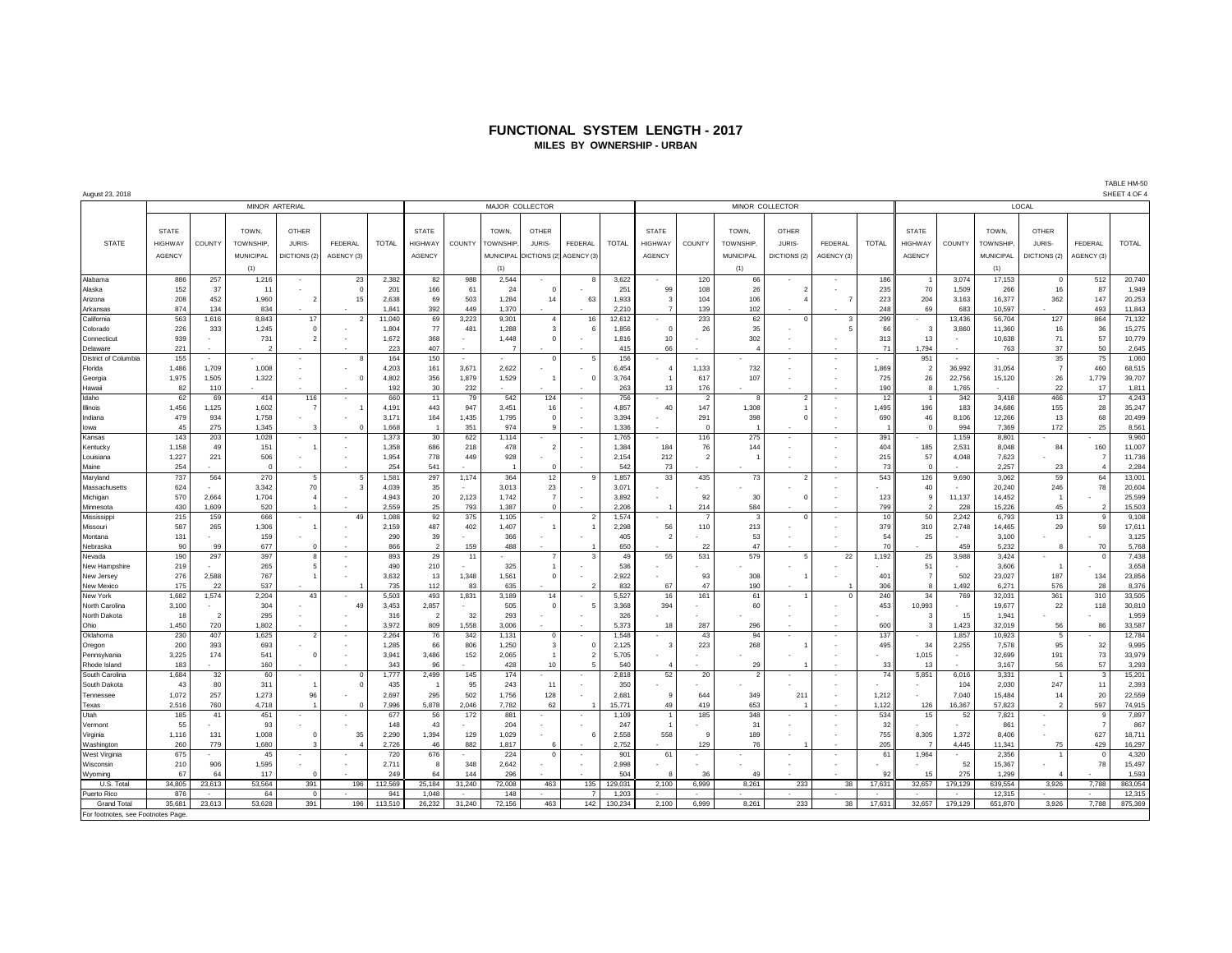#### **FUNCTIONAL SYSTEM LENGTH - 2017 MILES BY OWNERSHIP - URBAN**

| August 23, 2018                   |                |                          |                 |                |                |              |                |                 |                |                        |                          |              |                | SHEET 4 OF 4             |                          |                 |                |              |                |         |           |                |                          |              |
|-----------------------------------|----------------|--------------------------|-----------------|----------------|----------------|--------------|----------------|-----------------|----------------|------------------------|--------------------------|--------------|----------------|--------------------------|--------------------------|-----------------|----------------|--------------|----------------|---------|-----------|----------------|--------------------------|--------------|
|                                   | MINOR ARTERIAL |                          |                 |                |                |              |                | MAJOR COLLECTOR |                |                        |                          |              |                |                          |                          | MINOR COLLECTOR |                | LOCAL        |                |         |           |                |                          |              |
|                                   |                |                          |                 |                |                |              |                |                 |                |                        |                          |              |                |                          |                          |                 |                |              |                |         |           |                |                          |              |
|                                   | <b>STATE</b>   |                          | TOWN.           | <b>OTHER</b>   |                |              | <b>STATE</b>   |                 | TOWN,          | <b>OTHER</b>           |                          |              | <b>STATE</b>   |                          | TOWN,                    | <b>OTHER</b>    |                |              | <b>STATE</b>   |         | TOWN.     | OTHER          |                          |              |
|                                   |                |                          |                 |                |                |              |                |                 |                |                        |                          |              |                |                          |                          |                 |                |              |                |         |           |                |                          |              |
| <b>STATE</b>                      | <b>HIGHWAY</b> | COUNTY                   | <b>TOWNSHIP</b> | JURIS-         | FEDERAL        | <b>TOTAL</b> | <b>HIGHWAY</b> | COUNTY          | TOWNSHIP.      | JURIS-                 | <b>FEDERAL</b>           | <b>TOTAL</b> | <b>HIGHWAY</b> | COUNTY                   | <b>TOWNSHIP</b>          | JURIS-          | <b>FEDERAL</b> | <b>TOTAL</b> | <b>HIGHWAY</b> | COUNTY  | TOWNSHIP. | JURIS-         | FEDERAL                  | <b>TOTAL</b> |
|                                   | <b>AGENCY</b>  |                          | MUNICIPAL       | DICTIONS (2)   | AGENCY (3)     |              | <b>AGENCY</b>  |                 |                | MUNICIPAL DICTIONS (2) | AGENCY (3)               |              | <b>AGENCY</b>  |                          | MUNICIPAL                | DICTIONS (2)    | AGENCY (3)     |              | <b>AGENCY</b>  |         | MUNICIPAL | DICTIONS (2)   | AGENCY (3)               |              |
|                                   |                |                          | (1)             |                |                |              |                |                 | (1)            |                        |                          |              |                |                          | (1)                      |                 |                |              |                |         | (1)       |                |                          |              |
| Alabama                           | 886            | 257                      | 1,216           |                | 23             | 2,382        | 82             | 988             | 2,544          |                        | 8                        | 3,622        |                | 120                      | 66                       |                 |                | 186          |                | 3,074   | 17,153    | $\mathbf 0$    | 512                      | 20,740       |
| Alaska                            | 152            | 37                       | 11              |                | $\Omega$       | 201          | 166            | 61              | 24             | $\Omega$               |                          | 251          | 99             | 108                      | 26                       | $\overline{2}$  |                | 235          | 70             | 1,509   | 266       | 16             | 87                       | 1,949        |
| Arizona                           | 208            | 452                      | 1,960           | $\overline{2}$ | 15             | 2,638        | 69             | 503             | 1,284          | 14                     | 63                       | 1,933        | $\mathbf{3}$   | 104                      | 106                      |                 |                | 223          | 204            | 3,163   | 16,377    | 362            | 147                      | 20,253       |
| Arkansas                          | 874            | 134                      | 834             |                |                | 1,841        | 392            | 449             | 1,370          |                        |                          | 2,210        |                | 139                      | 102                      |                 |                | 248          | 69             | 683     | 10,597    |                | 493                      | 11,843       |
| California                        | 563            | 1,616                    | 8,843           | 17             | $\overline{2}$ | 11,040       | 69             | 3,223           | 9,301          | $\overline{4}$         | 16                       | 12,612       |                | 233                      | 62                       | $\Omega$        | 3              | 299          |                | 13,436  | 56,704    | 127            | 864                      | 71,132       |
| Colorado                          | 226            | 333                      | 1,245           | $\mathbf 0$    |                | 1,804        | 77             | 481             | 1,288          | 3                      | 6                        | 1,856        | $\Omega$       | 26                       | 35                       |                 | 5              | 66           | 3              | 3,860   | 11,360    | 16             | 36                       | 15,275       |
| Connecticut                       | 939            |                          | 731             | $\mathcal{P}$  |                | 1,672        | 368            |                 | 1.448          | $\Omega$               |                          | 1.816        | 10             | ٠                        | 302                      |                 |                | 313          | 13             |         | 10,638    | 71             | 57                       | 10,779       |
| Delaware                          | 221            |                          | $\overline{2}$  |                |                | 223          | 407            |                 | $\overline{7}$ |                        |                          | 415          | 66             |                          | $\Delta$                 |                 |                | 71           | 1,794          |         | 763       | 37             | 50                       | 2,645        |
| District of Columbia              | 155            |                          |                 |                | 8              | 164          | 150            |                 |                | $\Omega$               | 5                        | 156          |                |                          |                          |                 |                |              | 951            | $\sim$  |           | 35             | 75                       | 1,060        |
| Florida                           | 1,486          | 1,709                    | 1,008           | ٠              | ٠              | 4,203        | 161            | 3,671           | 2,622          |                        |                          | 6.454        | $\overline{4}$ | 1,133                    | 732                      |                 |                | 1.869        | $\overline{2}$ | 36,992  | 31,054    | $\overline{7}$ | 460                      | 68,515       |
| Georgia                           | 1,975          | 1.505                    | 1,322           |                | $\Omega$       | 4,802        | 356            | 1,879           | 1,529          |                        | $\Omega$                 | 3,764        |                | 617                      | 107                      |                 |                | 725          | 26             | 22.756  | 15,120    | 26             | 1.779                    | 39,707       |
| Hawaii                            | 82             | 110                      |                 |                |                | 192          | 30             | 232             |                |                        |                          | 263          | 13             | 176                      |                          |                 |                | 190          | 8              | 1,765   |           | 22             | 17                       | 1,811        |
| Idaho                             | 62             | 69                       | 414             | 116            | $\sim$         | 660          | 11             | 79              | 542            | 124                    | $\sim$                   | 756          | $\sim$         | $\overline{2}$           | 8                        | $\overline{2}$  |                | 12           | $\overline{1}$ | 342     | 3,418     | 466            | 17                       | 4,243        |
| Illinois                          | 1,456          | 1,125                    | 1,602           | $\overline{7}$ |                | 4,191        | 443            | 947             | 3,451          | 16                     |                          | 4,857        | 40             | 147                      | 1,308                    |                 |                | 1,495        | 196            | 183     | 34,686    | 155            | 28                       | 35,247       |
| Indiana                           | 479            | 934                      | 1,758           |                |                | 3,171        | 164            | 1,435           | 1,795          | $\overline{0}$         |                          | 3,394        |                | 291                      | 398                      | $\Omega$        |                | 690          | 46             | 8,106   | 12,266    | 13             | 68                       | 20,499       |
| lowa                              | 45             | 275                      | 1,345           | 3              | $\Omega$       | 1,668        |                | 351             | 974            | q                      |                          | 1,336        |                | $\Omega$                 |                          |                 |                |              | $\Omega$       | 994     | 7,369     | 172            | 25                       | 8,561        |
| Kansas                            | 143            | 203                      | 1,028           | $\epsilon$     |                | 1,373        | 30             | 622             | 1,114          |                        |                          | 1,765        |                | 116                      | 275                      |                 |                | 391          |                | 1,159   | 8,801     |                |                          | 9,960        |
| Kentucky                          | 1,158          | 49                       | 151             | $\overline{1}$ |                | 1,358        | 686            | 218             | 478            | 2                      |                          | 1,384        | 184            | 76                       | 144                      |                 |                | 404          | 185            | 2,531   | 8,048     | 84             | 160                      | 11,007       |
| Louisiana                         | 1,227          | 221                      | 506             | ×              |                | 1,954        | 778            | 449             | 928            |                        |                          | 2,154        | 212            | $\overline{2}$           |                          |                 |                | 215          | 57             | 4,048   | 7,623     |                | $\overline{7}$           | 11,736       |
| Maine                             | 254            |                          | $\Omega$        |                |                | 254          | 541            |                 | $\overline{1}$ | $\overline{0}$         |                          | 542          | 73             |                          |                          |                 |                | 73           | $\Omega$       |         | 2,257     | 23             | $\Delta$                 | 2,284        |
| Maryland                          | 737            | 564                      | 270             | 5              | 5              | 1,581        | 297            | 1,174           | 364            | 12                     | g                        | 1.857        | 33             | 435                      | 73                       | $\overline{z}$  |                | 543          | 126            | 9,690   | 3,062     | 59             | 64                       | 13,001       |
| Massachusetts                     | 624            |                          | 3,342           | 70             | 3              | 4,039        | 35             |                 | 3,013          | 23                     |                          | 3,071        |                |                          |                          |                 |                |              | 40             |         | 20,240    | 246            | 78                       | 20,604       |
| Michigan                          | 570            | 2,664                    | 1,704           | $\overline{4}$ |                | 4,943        | 20             | 2,123           | 1,742          | $\overline{7}$         |                          | 3,892        |                | 92                       | 30                       | $\Omega$        |                | 123          | $\mathbf{q}$   | 11,137  | 14,452    |                |                          | 25,599       |
| Minnesota                         | 430            | 1,609                    | 520             | $\overline{1}$ |                | 2.559        | 25             | 793             | 1.387          | $\Omega$               |                          | 2.206        |                | 214                      | 584                      |                 |                | 799          | $\overline{2}$ | 228     | 15,226    | 45             | $\overline{\phantom{a}}$ | 15,503       |
| Mississipp                        | 215            | 159                      | 666             | $\sim$         | 49             | 1.088        | 92             | 375             | 1.105          | $\sim$                 | $\overline{\phantom{a}}$ | 1.574        | $\alpha$       |                          | $\mathbf{3}$             | $\Omega$        |                | 10           | 50             | 2.242   | 6.793     | 13             | $\mathbf{q}$             | 9,108        |
| Missouri                          | 587            | 265                      | 1,306           | $\overline{1}$ |                | 2,159        | 487            | 402             | 1,407          |                        |                          | 2,298        | 56             | 110                      | 213                      |                 |                | 379          | 310            | 2,748   | 14,465    | 29             | 59                       | 17,611       |
| Montana                           | 131            |                          | 159             |                |                | 290          | 39             |                 | 366            |                        |                          | 405          | 2              |                          | 53                       |                 |                | 54           | 25             |         | 3,100     |                |                          | 3,125        |
| Nebraska                          | 90             | 99                       | 677             | $\Omega$       |                | 866          | $\overline{2}$ | 159             | 488            |                        |                          | 650          |                | 22                       | 47                       |                 |                | 70           |                | 459     | 5,232     | $\mathbf{R}$   | 70                       | 5,768        |
| Nevada                            | 190            | 297                      | 397             | 8              | ٠              | 893          | 29             | 11              |                |                        | 3                        | 49           | 55             | 531                      | 579                      | 5               | 22             | 1,192        | 25             | 3,988   | 3,424     | ٠              | $^{\circ}$               | 7,438        |
| New Hampshire                     | 219            |                          | 265             | 5              |                | 490          | 210            |                 | 325            |                        |                          | 536          |                |                          |                          |                 |                |              | 51             |         | 3,606     |                |                          | 3,658        |
| New Jersey                        | 276            | 2,588                    | 767             | $\mathbf{1}$   |                | 3,632        | 13             | 1,348           | 1,561          | $\overline{0}$         |                          | 2,922        |                | 93                       | 308                      |                 |                | 401          | 7              | 502     | 23,027    | 187            | 134                      | 23,856       |
| New Mexico                        | 175            | 22                       | 537             |                |                | 735          | 112            | 83              | 635            |                        | $\overline{2}$           | 832          | 67             | 47                       | 190                      |                 |                | 306          | 8              | 1,492   | 6,271     | 576            | 28                       | 8,376        |
| New York                          | 1,682          | 1,574                    | 2,204           | 43             |                | 5,503        | 493            | 1,831           | 3,189          | 14                     |                          | 5,527        | 16             | 161                      | 61                       |                 | $\Omega$       | 240          | 34             | 769     | 32,031    | 361            | 310                      | 33,505       |
| North Carolina                    | 3,100          |                          | 304             |                | 49             | 3,453        | 2,857          |                 | 505            | $\Omega$               | 5                        | 3,368        | 394            |                          | 60                       |                 |                | 453          | 10,993         |         | 19,677    | 22             | 118                      | 30,810       |
| North Dakota                      | 18             | $\overline{\phantom{a}}$ | 295             |                |                | 316          | $\overline{2}$ | 32              | 293            |                        |                          | 326          |                |                          |                          |                 |                |              | -3             | 15      | 1,941     |                |                          | 1,959        |
| Ohio                              | 1,450          | 720                      | 1,802           |                |                | 3,972        | 809            | 1,558           | 3,006          |                        |                          | 5,373        | 18             | 287                      | 296                      |                 |                | 600          | 3              | 1,423   | 32,019    | 56             | 86                       | 33,587       |
| Oklahoma                          | 230            | 407                      | 1,625           | $\overline{2}$ | ×,             | 2,264        | 76             | 342             | 1,131          | $\mathbf 0$            |                          | 1,548        |                | 43                       | 94                       |                 |                | 137          |                | 1,857   | 10,923    | 5              |                          | 12,784       |
| Oregon                            | 200            | 393                      | 693             |                |                | 1,285        | 66             | 806             | 1,250          | 3                      | $^{\circ}$               | 2,125        | $\mathbf{3}$   | 223                      | 268                      |                 |                | 495          | 34             | 2,255   | 7,578     | 95             | 32                       | 9,995        |
| Pennsylvania                      | 3,225          | 174                      | 541             | $\circ$        |                | 3,941        | 3,486          | 152             | 2,065          |                        | $\overline{2}$           | 5,705        |                |                          |                          |                 |                |              | 1,015          |         | 32,699    | 191            | 73                       | 33,979       |
| Rhode Island                      | 183            |                          | 160             |                |                | 343          | 96             |                 | 428            | 10                     | 5                        | 540          |                |                          | 29                       |                 |                | 33           | 13             |         | 3.167     | 56             | 57                       | 3,293        |
| South Carolina                    | 1,684          | 32                       | 60              |                | $\Omega$       | 1,777        | 2,499          | 145             | 174            |                        |                          | 2,818        | 52             | 20                       | $\overline{\phantom{a}}$ |                 |                | 74           | 5,851          | 6,016   | 3,331     | $\overline{1}$ | $\mathbf{3}$             | 15,201       |
| South Dakota                      | 43             | 80                       | 311             | $\overline{1}$ | $\Omega$       | 435          |                | 95              | 243            | 11                     |                          | 350          |                |                          |                          |                 |                |              |                | 104     | 2,030     | 247            | 11                       | 2,393        |
| Tennessee                         | 1.072          | 257                      | 1.273           | 96             |                | 2.697        | 295            | 502             | 1.756          | 128                    |                          | 2.681        | 9              | 644                      | 349                      | 211             |                | 1.212        |                | 7.040   | 15.484    | 14             | 20                       | 22,559       |
| Texas                             | 2,516          | 760                      | 4,718           | $\overline{1}$ | $^{\circ}$     | 7,996        | 5,878          | 2,046           | 7,782          | 62                     |                          | 15,771       | 49             | 419                      | 653                      |                 |                | 1,122        | 126            | 16,367  | 57,823    | $\overline{2}$ | 597                      | 74,915       |
| Utah                              | 185            | 41                       | 451             | ٠              |                | 677          | 56             | 172             | 881            |                        |                          | 1,109        |                | 185                      | 348                      |                 |                | 534          | 15             | 52      | 7,821     | ۰              | -9                       | 7,897        |
| Vermont                           | 55             |                          | 93              |                |                | 148          | 43             |                 | 204            |                        |                          | 247          |                |                          | 31                       |                 |                | 32           |                |         | 861       |                | $\overline{7}$           | 867          |
| Virginia                          | 1,116          | 131                      | 1,008           | $^{\circ}$     | 35             | 2,290        | 1,394          | 129             | 1,029          |                        | 6                        | 2,558        | 558            | 9                        | 189                      |                 |                | 755          | 8,305          | 1,372   | 8,406     |                | 627                      | 18,711       |
| Washington                        | 260            | 779                      | 1,680           | 3              | $\Delta$       | 2,726        | 46             | 882             | 1,817          | 6                      |                          | 2,752        |                | 129                      | 76                       |                 |                | 205          |                | 4,445   | 11,341    | 75             | 429                      | 16,297       |
| West Virginia                     | 675            |                          | 45              |                |                | 720          | 676            |                 | 224            | $\overline{0}$         |                          | 901          | 61             | $\overline{\phantom{a}}$ |                          |                 |                | 61           | 1,964          |         | 2,356     | -1             | $\Omega$                 | 4,320        |
| Wisconsin                         | 210            | 906                      | 1,595           |                |                | 2,711        | 8              | 348             | 2,642          |                        |                          | 2.998        |                |                          |                          |                 |                |              |                | 52      | 15,367    |                | 78                       | 15,497       |
| Wyoming                           | 67             | 64                       | 117             | $\Omega$       |                | 249          | 64             | 144             | 296            |                        |                          | 504          |                | 36                       | 49                       |                 |                | 92           | 15             | 275     | 1,299     |                |                          | 1,593        |
| U.S. Total                        | 34,805         | 23,613                   | 53,564          | 391            | 196            | 112,569      | 25,184         | 31,240          | 72,008         | 463                    | 135                      | 129,031      | 2,100          | 6,999                    | 8,261                    | 233             | 38             | 17,631       | 32,657         | 179,129 | 639,554   | 3,926          | 7,788                    | 863,054      |
| Puerto Rico                       | 876            |                          | 64              | $\Omega$       |                | 941          | 1.048          |                 | 148            |                        |                          | 1,203        |                |                          |                          |                 |                |              |                |         | 12,315    |                |                          | 12,315       |
| <b>Grand Total</b>                | 35,681         | 23,613                   | 53,628          | 391            | 196            | 113,510      | 26,232         | 31,240          | 72,156         | 463                    | 142                      | 130,234      | 2,100          | 6,999                    | 8,261                    | 233             | 38             | 17,631       | 32,657         | 179,129 | 651,870   | 3,926          | 7,788                    | 875,369      |
| For footnotes, see Footnotes Page |                |                          |                 |                |                |              |                |                 |                |                        |                          |              |                |                          |                          |                 |                |              |                |         |           |                |                          |              |
|                                   |                |                          |                 |                |                |              |                |                 |                |                        |                          |              |                |                          |                          |                 |                |              |                |         |           |                |                          |              |

TABLE HM-50